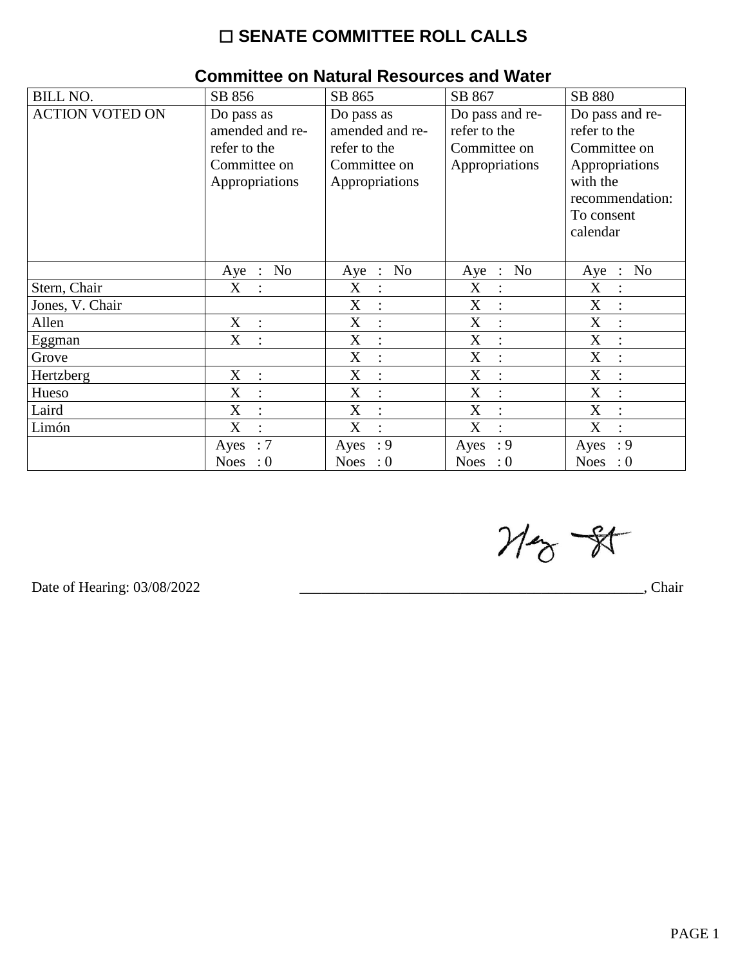## $\square$  SENATE COMMITTEE ROLL CALLS

| 011111111100 ON NGCGI GI ROJOGI 000 GITA TTACCI |                           |                           |                                             |                                        |  |  |  |
|-------------------------------------------------|---------------------------|---------------------------|---------------------------------------------|----------------------------------------|--|--|--|
| <b>BILL NO.</b>                                 | SB 856                    | SB 865                    | SB 867                                      | SB 880                                 |  |  |  |
| <b>ACTION VOTED ON</b>                          | Do pass as                | Do pass as                | Do pass and re-                             | Do pass and re-                        |  |  |  |
|                                                 | amended and re-           | amended and re-           | refer to the                                | refer to the                           |  |  |  |
|                                                 | refer to the              | refer to the              | Committee on                                | Committee on                           |  |  |  |
|                                                 | Committee on              | Committee on              | Appropriations                              | Appropriations                         |  |  |  |
|                                                 | Appropriations            | Appropriations            |                                             | with the                               |  |  |  |
|                                                 |                           |                           |                                             | recommendation:                        |  |  |  |
|                                                 |                           |                           |                                             | To consent                             |  |  |  |
|                                                 |                           |                           |                                             | calendar                               |  |  |  |
|                                                 |                           |                           |                                             |                                        |  |  |  |
|                                                 | N <sub>o</sub><br>$Aye$ : | No<br>Aye<br>$\therefore$ | N <sub>o</sub><br>Aye<br>$\therefore$       | N <sub>o</sub><br>Aye<br>$\mathcal{L}$ |  |  |  |
| Stern, Chair                                    | X                         | X                         | X                                           | X                                      |  |  |  |
| Jones, V. Chair                                 |                           | X<br>$\ddot{\cdot}$       | X<br>$\ddot{\cdot}$                         | X                                      |  |  |  |
| Allen                                           | X<br>$\dot{\mathbf{r}}$   | X<br>$\ddot{\cdot}$       | X<br>$\ddot{\cdot}$                         | X<br>$\bullet$                         |  |  |  |
| Eggman                                          | X                         | X                         | $\boldsymbol{\mathrm{X}}$<br>$\ddot{\cdot}$ | X                                      |  |  |  |
| Grove                                           |                           | X<br>$\ddot{\cdot}$       | X<br>$\ddot{\cdot}$                         | X                                      |  |  |  |
| Hertzberg                                       | X<br>$\overline{\cdot}$   | X<br>$\cdot$              | X<br>$\ddot{\cdot}$                         | X                                      |  |  |  |
| Hueso                                           | X                         | X                         | X<br>$\ddot{\cdot}$                         | X                                      |  |  |  |
| Laird                                           | X                         | X<br>$\ddot{\cdot}$       | X<br>$\ddot{\cdot}$                         | X                                      |  |  |  |
| Limón                                           | X                         | X<br>$\bullet$            | X<br>$\bullet$                              | X                                      |  |  |  |
|                                                 | :7<br>Ayes                | $\cdot$ 9<br>Ayes         | $\cdot$ 9<br>Ayes                           | : 9<br>Ayes                            |  |  |  |
|                                                 | Noes : $0$                | Noes : $0$                | Noes : $0$                                  | Noes : $0$                             |  |  |  |

## Committee on Natural Resources and Water

 $M_{\odot}$  - 81

Date of Hearing: 03/08/2022

Chair,